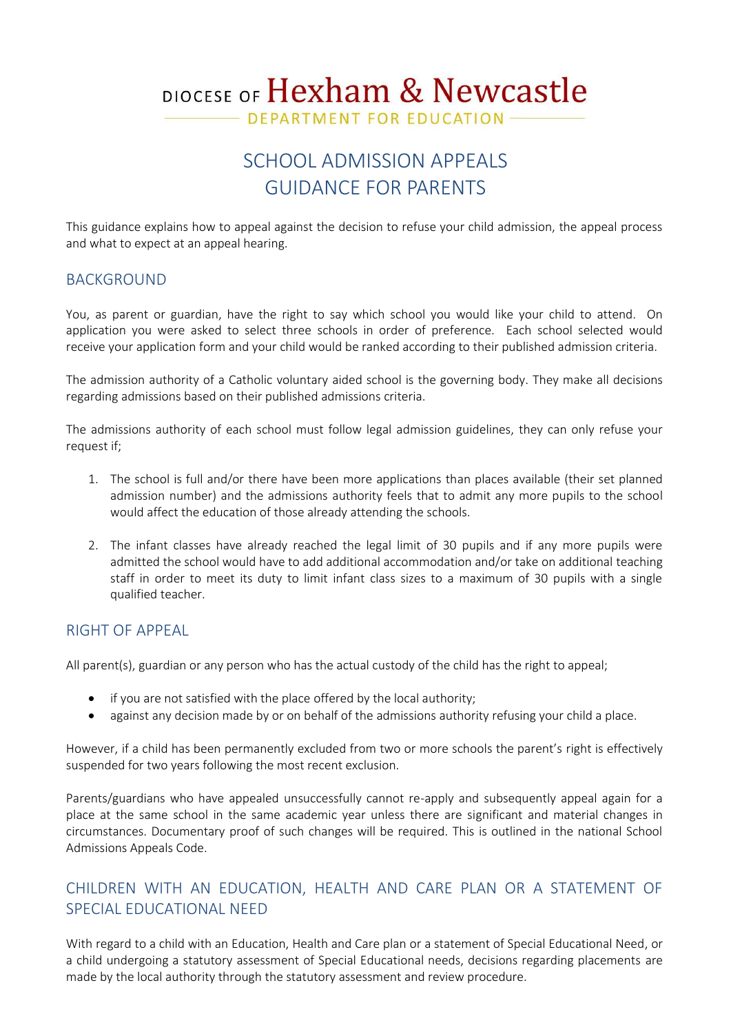# DIOCESE OF Hexham & Newcastle

DEPARTMENT FOR EDUCATION

# SCHOOL ADMISSION APPEALS GUIDANCE FOR PARENTS

This guidance explains how to appeal against the decision to refuse your child admission, the appeal process and what to expect at an appeal hearing.

### **BACKGROUND**

You, as parent or guardian, have the right to say which school you would like your child to attend. On application you were asked to select three schools in order of preference. Each school selected would receive your application form and your child would be ranked according to their published admission criteria.

The admission authority of a Catholic voluntary aided school is the governing body. They make all decisions regarding admissions based on their published admissions criteria.

The admissions authority of each school must follow legal admission guidelines, they can only refuse your request if;

- 1. The school is full and/or there have been more applications than places available (their set planned admission number) and the admissions authority feels that to admit any more pupils to the school would affect the education of those already attending the schools.
- 2. The infant classes have already reached the legal limit of 30 pupils and if any more pupils were admitted the school would have to add additional accommodation and/or take on additional teaching staff in order to meet its duty to limit infant class sizes to a maximum of 30 pupils with a single qualified teacher.

#### RIGHT OF APPEAL

All parent(s), guardian or any person who has the actual custody of the child has the right to appeal;

- if you are not satisfied with the place offered by the local authority;
- against any decision made by or on behalf of the admissions authority refusing your child a place.

However, if a child has been permanently excluded from two or more schools the parent's right is effectively suspended for two years following the most recent exclusion.

Parents/guardians who have appealed unsuccessfully cannot re-apply and subsequently appeal again for a place at the same school in the same academic year unless there are significant and material changes in circumstances. Documentary proof of such changes will be required. This is outlined in the national School Admissions Appeals Code.

# CHILDREN WITH AN EDUCATION, HEALTH AND CARE PLAN OR A STATEMENT OF SPECIAL EDUCATIONAL NEED

With regard to a child with an Education, Health and Care plan or a statement of Special Educational Need, or a child undergoing a statutory assessment of Special Educational needs, decisions regarding placements are made by the local authority through the statutory assessment and review procedure.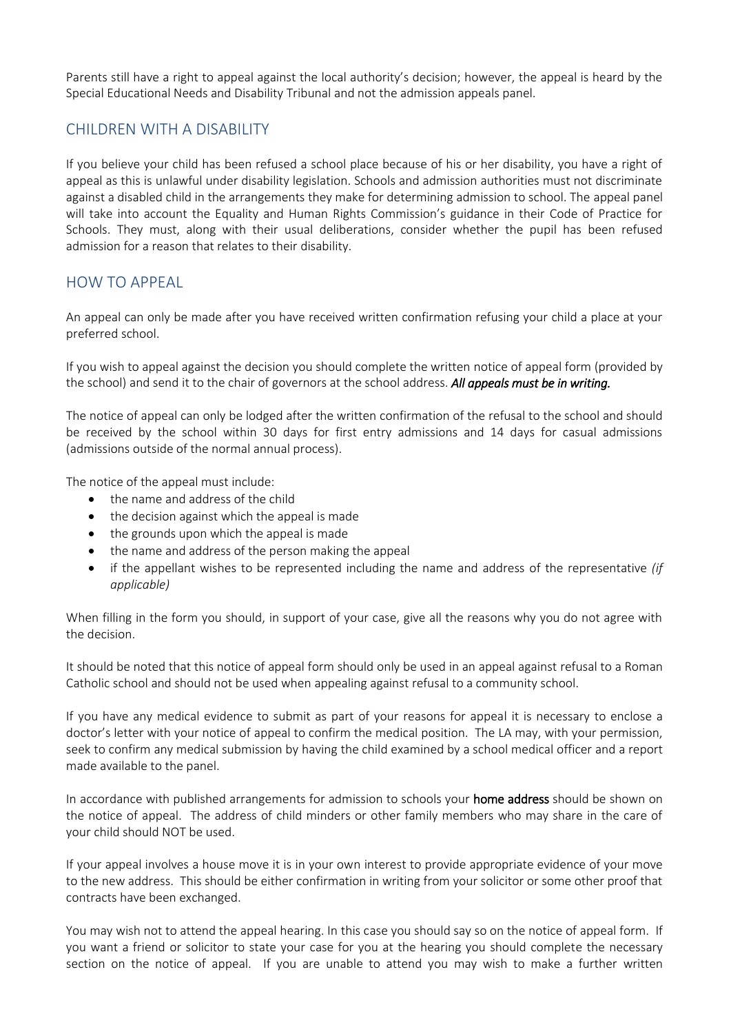Parents still have a right to appeal against the local authority's decision; however, the appeal is heard by the Special Educational Needs and Disability Tribunal and not the admission appeals panel.

# CHILDREN WITH A DISABILITY

If you believe your child has been refused a school place because of his or her disability, you have a right of appeal as this is unlawful under disability legislation. Schools and admission authorities must not discriminate against a disabled child in the arrangements they make for determining admission to school. The appeal panel will take into account the Equality and Human Rights Commission's guidance in their Code of Practice for Schools. They must, along with their usual deliberations, consider whether the pupil has been refused admission for a reason that relates to their disability.

# HOW TO APPEAL

An appeal can only be made after you have received written confirmation refusing your child a place at your preferred school.

If you wish to appeal against the decision you should complete the written notice of appeal form (provided by the school) and send it to the chair of governors at the school address. *All appeals must be in writing.* 

The notice of appeal can only be lodged after the written confirmation of the refusal to the school and should be received by the school within 30 days for first entry admissions and 14 days for casual admissions (admissions outside of the normal annual process).

The notice of the appeal must include:

- the name and address of the child
- the decision against which the appeal is made
- the grounds upon which the appeal is made
- the name and address of the person making the appeal
- if the appellant wishes to be represented including the name and address of the representative *(if applicable)*

When filling in the form you should, in support of your case, give all the reasons why you do not agree with the decision.

It should be noted that this notice of appeal form should only be used in an appeal against refusal to a Roman Catholic school and should not be used when appealing against refusal to a community school.

If you have any medical evidence to submit as part of your reasons for appeal it is necessary to enclose a doctor's letter with your notice of appeal to confirm the medical position. The LA may, with your permission, seek to confirm any medical submission by having the child examined by a school medical officer and a report made available to the panel.

In accordance with published arrangements for admission to schools your home address should be shown on the notice of appeal. The address of child minders or other family members who may share in the care of your child should NOT be used.

If your appeal involves a house move it is in your own interest to provide appropriate evidence of your move to the new address. This should be either confirmation in writing from your solicitor or some other proof that contracts have been exchanged.

You may wish not to attend the appeal hearing. In this case you should say so on the notice of appeal form. If you want a friend or solicitor to state your case for you at the hearing you should complete the necessary section on the notice of appeal. If you are unable to attend you may wish to make a further written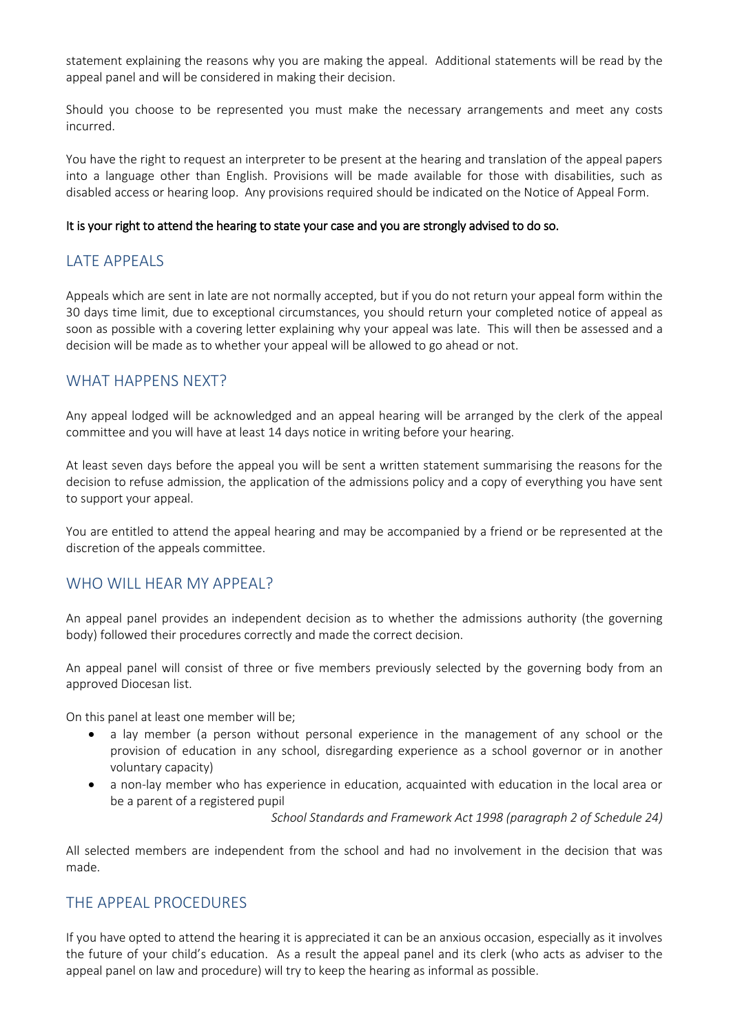statement explaining the reasons why you are making the appeal. Additional statements will be read by the appeal panel and will be considered in making their decision.

Should you choose to be represented you must make the necessary arrangements and meet any costs incurred.

You have the right to request an interpreter to be present at the hearing and translation of the appeal papers into a language other than English. Provisions will be made available for those with disabilities, such as disabled access or hearing loop. Any provisions required should be indicated on the Notice of Appeal Form.

#### It is your right to attend the hearing to state your case and you are strongly advised to do so.

# LATE APPEALS

Appeals which are sent in late are not normally accepted, but if you do not return your appeal form within the 30 days time limit, due to exceptional circumstances, you should return your completed notice of appeal as soon as possible with a covering letter explaining why your appeal was late. This will then be assessed and a decision will be made as to whether your appeal will be allowed to go ahead or not.

#### WHAT HAPPENS NEXT?

Any appeal lodged will be acknowledged and an appeal hearing will be arranged by the clerk of the appeal committee and you will have at least 14 days notice in writing before your hearing.

At least seven days before the appeal you will be sent a written statement summarising the reasons for the decision to refuse admission, the application of the admissions policy and a copy of everything you have sent to support your appeal.

You are entitled to attend the appeal hearing and may be accompanied by a friend or be represented at the discretion of the appeals committee.

#### WHO WILL HEAR MY APPEAL?

An appeal panel provides an independent decision as to whether the admissions authority (the governing body) followed their procedures correctly and made the correct decision.

An appeal panel will consist of three or five members previously selected by the governing body from an approved Diocesan list.

On this panel at least one member will be;

- a lay member (a person without personal experience in the management of any school or the provision of education in any school, disregarding experience as a school governor or in another voluntary capacity)
- a non-lay member who has experience in education, acquainted with education in the local area or be a parent of a registered pupil

*School Standards and Framework Act 1998 (paragraph 2 of Schedule 24)*

All selected members are independent from the school and had no involvement in the decision that was made.

#### THE APPEAL PROCEDURES

If you have opted to attend the hearing it is appreciated it can be an anxious occasion, especially as it involves the future of your child's education. As a result the appeal panel and its clerk (who acts as adviser to the appeal panel on law and procedure) will try to keep the hearing as informal as possible.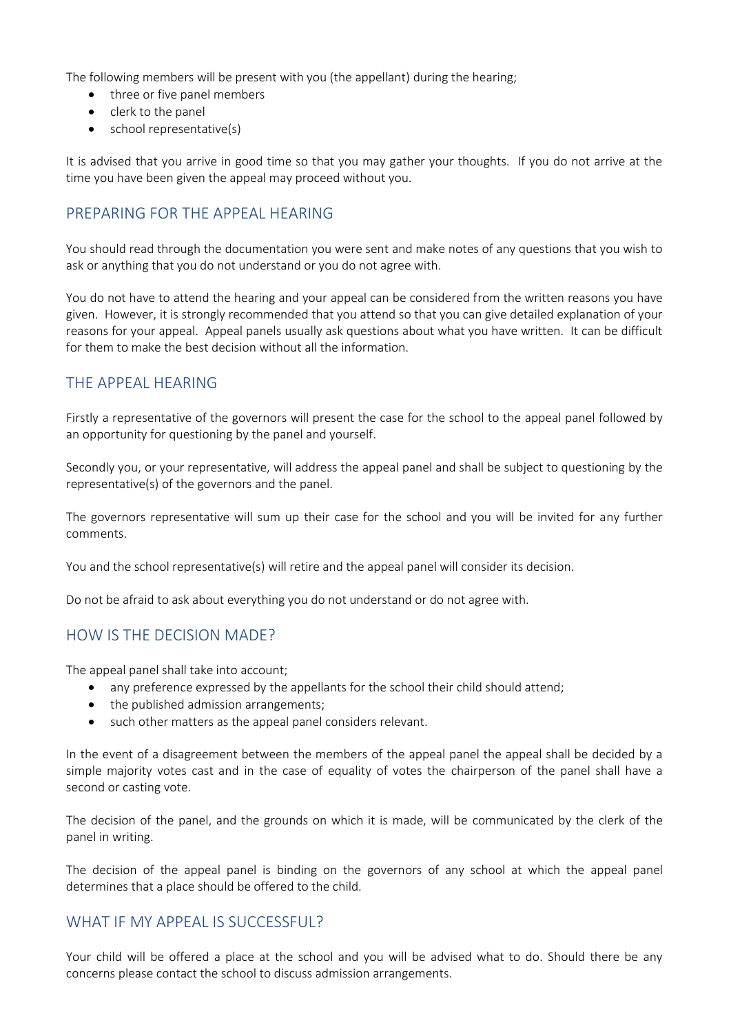The following members will be present with you (the appellant) during the hearing;

- three or five panel members
- clerk to the panel
- school representative(s)

It is advised that you arrive in good time so that you may gather your thoughts. If you do not arrive at the time you have been given the appeal may proceed without you.

# PREPARING FOR THE APPEAL HEARING

You should read through the documentation you were sent and make notes of any questions that you wish to ask or anything that you do not understand or you do not agree with.

You do not have to attend the hearing and your appeal can be considered from the written reasons you have given. However, it is strongly recommended that you attend so that you can give detailed explanation of your reasons for your appeal. Appeal panels usually ask questions about what you have written. It can be difficult for them to make the best decision without all the information.

# THE APPEAL HEARING

Firstly a representative of the governors will present the case for the school to the appeal panel followed by an opportunity for questioning by the panel and yourself.

Secondly you, or your representative, will address the appeal panel and shall be subject to questioning by the representative(s) of the governors and the panel.

The governors representative will sum up their case for the school and you will be invited for any further comments.

You and the school representative(s) will retire and the appeal panel will consider its decision.

Do not be afraid to ask about everything you do not understand or do not agree with.

# HOW IS THE DECISION MADE?

The appeal panel shall take into account;

- any preference expressed by the appellants for the school their child should attend;
- the published admission arrangements;
- such other matters as the appeal panel considers relevant.

In the event of a disagreement between the members of the appeal panel the appeal shall be decided by a simple majority votes cast and in the case of equality of votes the chairperson of the panel shall have a second or casting vote.

The decision of the panel, and the grounds on which it is made, will be communicated by the clerk of the panel in writing.

The decision of the appeal panel is binding on the governors of any school at which the appeal panel determines that a place should be offered to the child.

# WHAT IF MY APPFAL IS SUCCESSFUL?

Your child will be offered a place at the school and you will be advised what to do. Should there be any concerns please contact the school to discuss admission arrangements.